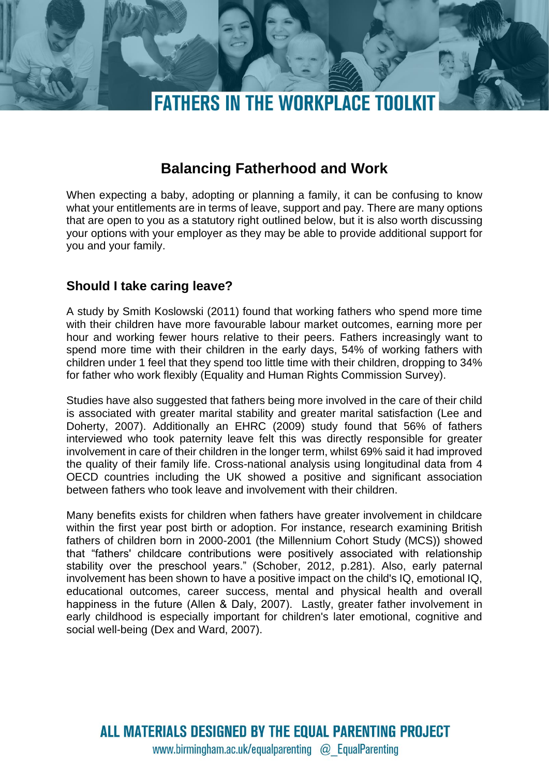

# **Balancing Fatherhood and Work**

When expecting a baby, adopting or planning a family, it can be confusing to know what your entitlements are in terms of leave, support and pay. There are many options that are open to you as a statutory right outlined below, but it is also worth discussing your options with your employer as they may be able to provide additional support for you and your family.

## **Should I take caring leave?**

A study by Smith Koslowski (2011) found that working fathers who spend more time with their children have more favourable labour market outcomes, earning more per hour and working fewer hours relative to their peers. Fathers increasingly want to spend more time with their children in the early days, 54% of working fathers with children under 1 feel that they spend too little time with their children, dropping to 34% for father who work flexibly (Equality and Human Rights Commission Survey).

Studies have also suggested that fathers being more involved in the care of their child is associated with greater marital stability and greater marital satisfaction (Lee and Doherty, 2007). Additionally an EHRC (2009) study found that 56% of fathers interviewed who took paternity leave felt this was directly responsible for greater involvement in care of their children in the longer term, whilst 69% said it had improved the quality of their family life. Cross-national analysis using longitudinal data from 4 OECD countries including the UK showed a positive and significant association between fathers who took leave and involvement with their children.

Many benefits exists for children when fathers have greater involvement in childcare within the first year post birth or adoption. For instance, research examining British fathers of children born in 2000-2001 (the Millennium Cohort Study (MCS)) showed that "fathers' childcare contributions were positively associated with relationship stability over the preschool years." (Schober, 2012, p.281). Also, early paternal involvement has been shown to have a positive impact on the child's IQ, emotional IQ, educational outcomes, career success, mental and physical health and overall happiness in the future (Allen & Daly, 2007).   Lastly, greater father involvement in early childhood is especially important for children's later emotional, cognitive and social well-being (Dex and Ward, 2007).

ALL MATERIALS DESIGNED BY THE EQUAL PARENTING PROJECT www.birmingham.ac.uk/equalparenting @ EqualParenting